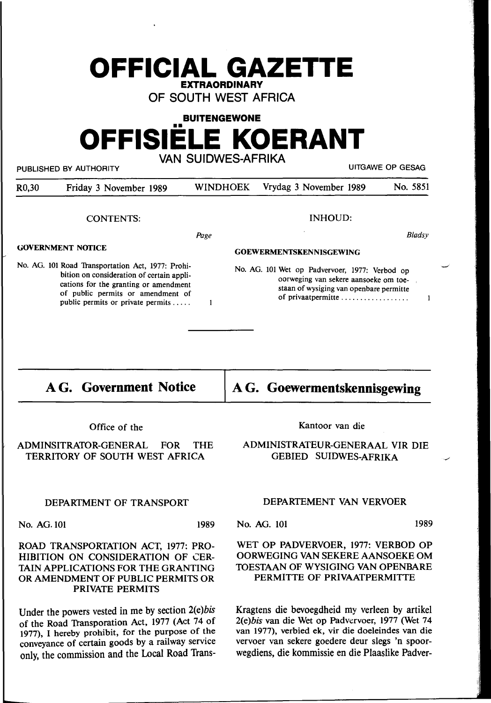## **OFFICIAL GAZETTE EXTRAORDINARY**

**OF SOUTH WEST AFRICA** 

#### **BUITENGEWONE**

# •• **OFFISIELE KOERANT VAN SUIDWES-AFRIKA**

PUBLISHED BY AUTHORITY **EXAMPLE A SECULITY ASSESSED ASSESSED** UITGAWE OP GESAG

| R <sub>0,30</sub>                                                                                                                                                                                               | Friday 3 November 1989 | <b>WINDHOEK</b> | Vrydag 3 November 1989                                                                                                             | No. 5851      |
|-----------------------------------------------------------------------------------------------------------------------------------------------------------------------------------------------------------------|------------------------|-----------------|------------------------------------------------------------------------------------------------------------------------------------|---------------|
|                                                                                                                                                                                                                 | <b>CONTENTS:</b>       |                 | <b>INHOUD:</b>                                                                                                                     |               |
|                                                                                                                                                                                                                 |                        | Page            |                                                                                                                                    | <b>Bladsy</b> |
| <b>GOVERNMENT NOTICE</b>                                                                                                                                                                                        |                        |                 | <b>GOEWERMENTSKENNISGEWING</b>                                                                                                     |               |
| No. AG. 101 Road Transportation Act, 1977: Prohi-<br>bition on consideration of certain appli-<br>cations for the granting or amendment<br>$\mathcal{L}$ . The set of $\mathcal{L}$ is the set of $\mathcal{L}$ |                        |                 | No. AG. 101 Wet op Padvervoer, 1977: Verbod op<br>oorweging van sekere aansoeke om toe-<br>staan of wysiging van openbare permitte |               |

 $\blacksquare$ 

**AG. Government Notice** 

of public permits or amendment of public permits or private permits .....

**AG. Goewermentskennisgewing** 

of privaatpermitte ..................

Office of the

#### ADMINSITRATOR-GENERAL FOR THE TERRITORY OF SOUTH WEST AFRICA

#### DEPARTMENT OF TRANSPORT

No. AG. 101 1989

#### ROAD TRANSPORTATION ACT, 1977: PRO-HIBITION ON CONSIDERATION OF CER-TAIN APPLICATIONS FOR THE GRANTING OR AMENDMENT OF PUBLIC PERMITS OR **PRIVATE PERMITS**

Under the powers vested in me by section 2(e)bis of the Road Transporation Act, 1977 (Act 74 of 1977), I hereby prohibit, for the purpose of the conveyance of certain goods by a railway service only, the commission and the Local Road TransKantoor van die

### ADMINISTRATEUR-GENERAAL VIR DIE GEBIED SUIDWES-AFRIKA

#### DEPARTEMENT VAN VERVOER

No. AG. 101 1989

-/

 $\overline{\phantom{a}}$ 

 $\mathbf{1}$ 

#### WET OP PADVERVOER, 1977: VERBOD OP OORWEGING VAN SEKERE AANSOEKE OM TOESTAAN OF WYSIGING VAN OPENBARE PERMITTE OF PRIVAATPERMITTE

Kragtens die bevoegdheid my verleen by artikel 2(e) bis van die Wet op Padvervoer, 1977 (Wet 74 van 1977), verbied ek, vir die doeleindes van die vervoer van sekere goedere deur slegs 'n spoorwegdiens, die kommissie en die Plaaslike Padver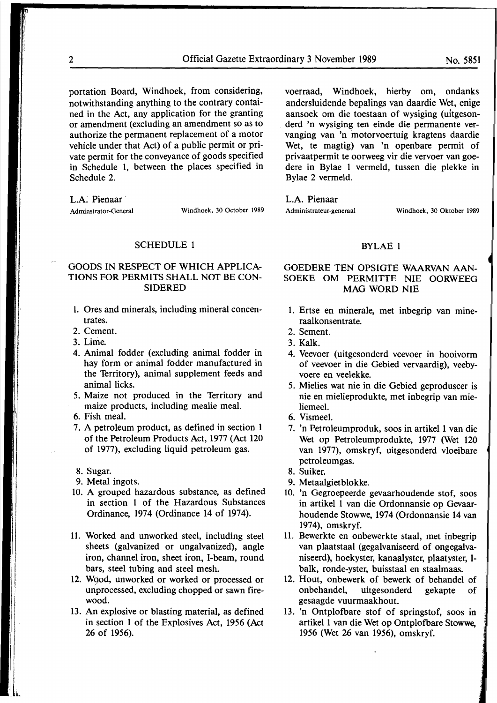portation Board, Windhoek, from considering, notwithstanding anything to the contrary contained in the Act, any application for the granting or amendment (excluding an amendment so as to authorize the permanent replacement of a motor vehicle under that Act) of a public permit or private permit for the conveyance of goods specified in Schedule 1, between the places specified in Schedule 2.

L.A. Pienaar

Adminstrator-General Windhoek, 30 October 1989

#### SCHEDULE 1

#### GOODS IN RESPECT OF WHICH APPLICA-TIONS FOR PERMITS SHALL NOT BE CON-SIDERED

- l. Ores and minerals, including mineral concentrates.
- 2. Cement.
- 3. Lime.
- 4. Animal fodder (excluding animal fodder in hay form or animal fodder manufactured in the Territory), animal supplement feeds and animal licks.
- 5. Maize not produced in the Territory and maize products, including mealie meal.
- 6. Fish meal.
- 7. A petroleum product, as defined in section 1 of the Petroleum Products Act, 1977 (Act 120 of 1977), excluding liquid petroleum gas.
- 8. Sugar.
- 9. Metal ingots.
- 10. A grouped hazardous substance, as defined in section 1 of the Hazardous Substances Ordinance, 1974 (Ordinance 14 of 1974).
- 11. Worked and unworked steel, including steel sheets (galvanized or ungalvanized), angle iron, channel iron, sheet iron, I-beam, round bars, steel tubing and steel mesh.
- 12. Wood, unworked or worked or processed or unprocessed, excluding chopped or sawn firewood.
- 13. An explosive or blasting material, as defined in section 1 of the Explosives Act, 1956 (Act 26 of 1956).

voerraad, Windhoek, hierby om, ondanks andersluidende bepalings van daardie Wet, enige aansoek om die toestaan of wysiging (uitgesonderd 'n wysiging ten einde die permanente vervanging van 'n motorvoertuig kragtens daardie Wet, te magtig) van 'n openbare permit of privaatpermit te oorweeg vir die vervoer van goedere in Bylae 1 vermeld, tussen die plekke in Bylae 2 vermeld.

L.A. Pienaar

Administrateur-generaal Windhoek, 30 Oktober 1989

#### **BYLAE** 1

#### GOEDERE TEN OPSIGTE **WAARVAN AAN-SOEKE OM PERMITTE NIE OORWEEG MAG WORD NIE**

- 1. Ertse en minerale, met inbegrip van mineraalkonsentrate.
- 2. Sement.
- 3. **Kalk.**
- 4. Veevoer (uitgesonderd veevoer in hooivorm of veevoer in die Gebied vervaardig), veebyvoere en veelekke.
- 5. Mielies wat nie in die Gebied geproduseer is nie en mielieprodukte, met inbegrip van mieliemeel.
- 6. Vismeel.
- 7. 'n Petroleumproduk, soos in artikel 1 van die Wet op Petroleumprodukte, 1977 (Wet 120 van 1977), omskryf, uitgesonderd vloeibare petroleumgas.
- 8. Suiker.
- 9. Metaalgietblokke.
- 10. 'n Gegroepeerde gevaarhoudende stof, soos in artikel 1 van die Ordonnansie op Gevaarhoudende Stowwe, 1974 (Ordonnansie 14 van 1974), omskryf.
- 11. Bewerkte en onbewerkte staal, met inbegrip van plaatstaal (gegalvaniseerd of ongegalvaniseerd), hoekyster, kanaalyster, plaatyster, 1 balk, ronde-yster, buisstaal en staalmaas.
- 12. Hout, onbewerk of bewerk of behandel of onbehandel, uitgesonderd gekapte of gesaagde vuurmaakhout.
- 13. 'n Ontplofbare stof of springstof, soos in artikel 1 van die Wet op Ontplofbare **Stowwe,**  1956 (Wet 26 van 1956), omskryf.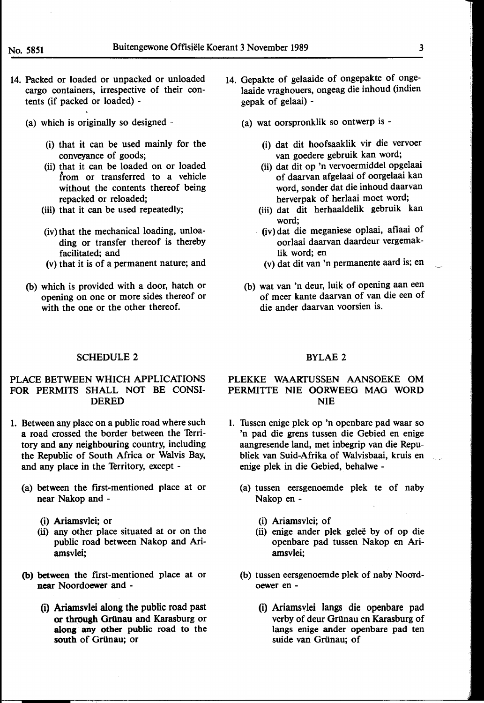- 14. Packed or loaded or unpacked or unloaded cargo containers, irrespective of their contents (if packed or loaded) -
	- (a) which is originally so designed
		- (i) that it can be used mainly for the conveyance of goods;
		- (ii) that it can be loaded on or loaded from or transferred to a vehicle without the contents thereof being repacked or reloaded;
		- (iii) that it can be used repeatedly;
		- (iv) that the mechanical loading, unloading or transfer thereof is thereby facilitated; and
		- (v) that it is of a permanent nature; and
	- (b) which is provided with a door, hatch or opening on one or more sides thereof or with the one or the other thereof.
- 14. Gepakte of gelaaide of ongepakte of ongelaaide vraghouers, ongeag die inhoud (indien gepak of gelaai) -
	- (a) wat oorspronklik so ontwerp is
		- (i) dat dit hoofsaaklik vir die vervoer van goedere gebruik kan word;
		- (ii) dat dit op 'n vervoermiddel opgelaai of daarvan afgelaai of oorgelaai kan word, sonder dat die inhoud daarvan herverpak of herlaai moet word;
		- (iii) dat dit herhaaldelik gebruik kan word;
		- (iv) dat die meganiese oplaai, aflaai of oorlaai daarvan daardeur vergemaklik word; en
			- (v) dat dit van 'n permanente aard is; en
	- (b) wat van 'n deur, luik of opening aan een of meer kante daarvan of van die een of die ander daarvan voorsien is.

#### SCHEDULE 2

#### PLACE BETWEEN WHICH APPLICATIONS FOR PERMITS SHALL NOf BE CONSI-DERED

- 1. Between any place on a public road where such a road crossed the border between the Territory and any neighbouring country, including the Republic of South Africa or Walvis Bay, and any place in the Territory, except -
	- (a) between the first-mentioned place at or near Nakop and -
		- (i) Ariamsvlei; or
		- (ii) any other place situated at or on the public road between Nakop and Ariamsvlei;
	- **(b) between** the first-mentioned place at or near Noordoewer and -
		- (i) Ariamsvlei along the public road past **or through** GrUnau and Karasburg or **along** any other public road to the south of Grünau; or

#### BYLAE 2

#### PLEKKE WAARTUSSEN AANSOEKE OM PERMITTE NIE OORWEEG MAG WORD NIE

- l. Tussen enige plek op 'n openbare pad waar so 'n pad die grens tussen die Gebied en enige aangresende land, met inbegrip van die Republiek van Suid-Afrika of Walvisbaai, kruis en enige plek in die Gebied, behalwe -
	- (a) tussen eersgenoemde plek te of naby Nakop en -
		- (i) Ariamsvlei; of
		- (ii) enige ander plek geleë by of op die openbare pad tussen Nakop en Ariamsvlei;
	- (b) tussen eersgenoemde plek of naby Noordoewer en -
		- (i) Ariamsvlei langs die openbare pad verby of deur Grünau en Karasburg of langs enige ander openbare pad ten suide van Grünau; of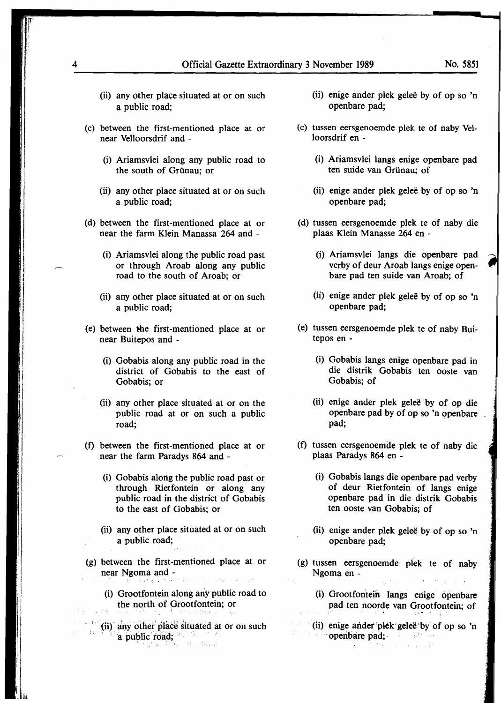- (ii) any other place situated at or on such a public road;
- (c) between the first-mentioned place at or near Velloorsdrif and -
	- (i) Ariamsvlei along any public road to the south of Grunau; or
	- (ii) any other place situated at or on such a public road;
- (d) between the first-mentioned place at or near the farm Klein Manassa 264 and -
	- (i) Ariamsvlei along the public road past or through Aroab along any public road to the south of Aroab; or
	- (ii) any other place situated at or on such a public road;
- (e) between the first-mentioned place at or near Buitepos and -
	- (i) Gobabis along any public road in the district of Gobabis to the east of Gobabis; or
	- (ii) any other place situated at or on the public road at or on such a public road;
- (f) between the first-mentioned place at or near the farm Paradys 864 and -
	- (i) Gobabis along the public road past or through Rietfontein or along any public road in the district of Gobabis to the east of Gobabis; or
	- (ii) any other place situated at or on such a public road;
- (g) between the first-mentioned place at or near Ngoma and -
	- (i) Grootfontein along any public road to the north of Grootfontein; or
	- $\hat{f}$  ,  $\hat{f}$ {ii) any other' place situated at or on such a public road; *a*
- (ii) enige ander plek gelee by of op so 'n openbare pad;
- (c) tussen eersgenoemde plek te of naby Velloorsdrif en -
	- (i) Ariamsvlei langs enige openbare pad ten suide van Grünau; of
	- (ii) enige ander plek gelee by of op so 'n openbare pad;
- (d) tussen eersgenoemde plek te of naby die plaas Klein Manasse 264 en -
	- (i) Ariamsvlei langs die openbare pad verby of deur Aroab langs enige openbare pad ten suide van Aroab; of
	- (ii) enige ander plek geleë by of op so 'n openbare pad;
- (e) tussen eersgenoemde plek te of naby Buitepos en -
	- (i) Gobabis langs enige openbare pad in die distrik Gobabis ten ooste van Gobabis; of
	- (ii) enige ander plek gelee by of op die openbare pad by of op so 'n openbare \_\_ pad;
- (f) tussen eersgenoemde plek te of naby die plaas Paradys 864 en -
	- (i) Gobabis langs die openbare pad verby of deur Rietfontein of langs enige openbare pad in die distrik Gobabis ten ooste van Gobabis; of
	- (ii) enige ander plek gelee by of op so 'n openbare pad;
- (g) tussen eersgenoemde plek te of naby Ngoma en -
	- (i) Grootfontein langs eriige openbare pad ten noorde van Grootfontein; of
	- (ii)• enige artder plek · **gelee** · by of op so 'n ' operibare pad; · Samilla.  $\sim$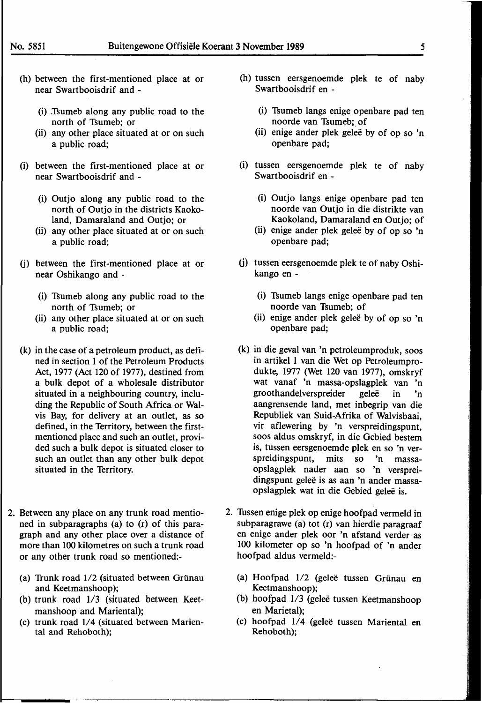- (h) between the first-mentioned place at or near Swartbooisdrif and -
	- (i) .Tsumeb along any public road to the north of Tsumeb; or
	- (ii) any other place situated at or on such a public road;
- (i) between the first-mentioned place at or near Swartbooisdrif and -
	- (i) Outjo along any public road to the north of Outjo in the districts Kaokoland, Damaraland and Outio; or
	- (ii) any other place situated at or on such a public road;
- (j) between the first-mentioned place at or near Oshikango and -
	- (i) Tsumeb along any public road to the north of Tsumeb; or
	- (ii) any other place situated at or on such a public road;
- (k) in the case of a petroleum product, as defined in section 1 of the Petroleum Products Act, 1977 (Act 120 of 1977), destined from a bulk depot of a wholesale distributor situated in a neighbouring country, including the Republic of South Africa or Walvis Bay, for delivery at an outlet, as so defined, in the Territory, between the firstmentioned place and such an outlet, provided such a bulk depot is situated closer to such an outlet than any other bulk depot situated in the Territory.
- 2. Between any place on any trunk road mentioned in subparagraphs (a) to (r) of this paragraph and any other place over a distance of more than 100 kilometres on such a trunk road or any other trunk road so mentioned:-
	- (a) Trunk road  $1/2$  (situated between Grünau and Keetmanshoop);
	- (b) trunk road 1/3 (situated between Keetmanshoop and Mariental);
	- (c) trunk road 1/4 (situated between Mariental and Rehoboth);
- (h) tussen eersgenoemde plek te of naby Swartbooisdrif en -
	- (i) Tsumeb langs enige openbare pad ten noorde van Tsumeb; of
	- (ii) enige ander plek geleë by of op so 'n openbare pad;
- (i) tussen eersgenoemde plek te of naby Swartbooisdrif en -
	- (i) Outjo langs enige openbare pad ten noorde van Outjo in die distrikte van Kaokoland, Damaraland en Outjo; of
	- (ii) enige ander plek gelee by of op so 'n openbare pad;
- (j) tussen eersgenoemde plek te of naby Oshikango en -
	- (i) Tsumeb langs enige openbare pad ten noorde van Tsumeb; of
	- (ii) enige ander plek geleë by of op so 'n openbare pad;
- (k) in die geval van 'n petroleumproduk, soos in artikel 1 van die Wet op Petroleumprodukte, 1977 (Wet 120 van 1977), omskryf wat vanaf 'n massa-opslagplek van 'n groothandelverspreider geleë in 'n aangrensende land, met inbegrip van die Republiek van Suid-Afrika of Walvisbaai, vir aflewering by 'n verspreidingspunt, soos aldus omskryf, in die Gebied bestem is, tussen eersgenoemde plek en so 'n verspreidingspunt, mits so 'n massaopslagplek nader aan so 'n verspreidingspunt geleë is as aan 'n ander massaopslagplek wat in die Gebied geleë is.
- 2. Tussen enige plek op enige hoofpad vermeld in subparagrawe (a) tot (r) van hierdie paragraaf en enige ander plek oor 'n afstand verder as 100 kilometer op so 'n hoofpad of 'n ander hoofpad aldus vermeld:-
	- (a) Hoofpad 1/2 (gelee tussen Grunau en Keetmanshoop);
	- $(b)$  hoofpad  $1/3$  (gelee tussen Keetmanshoop en Marietal);
	- (c) hoofpad 1/4 (gelee tussen Mariental en Rehoboth);